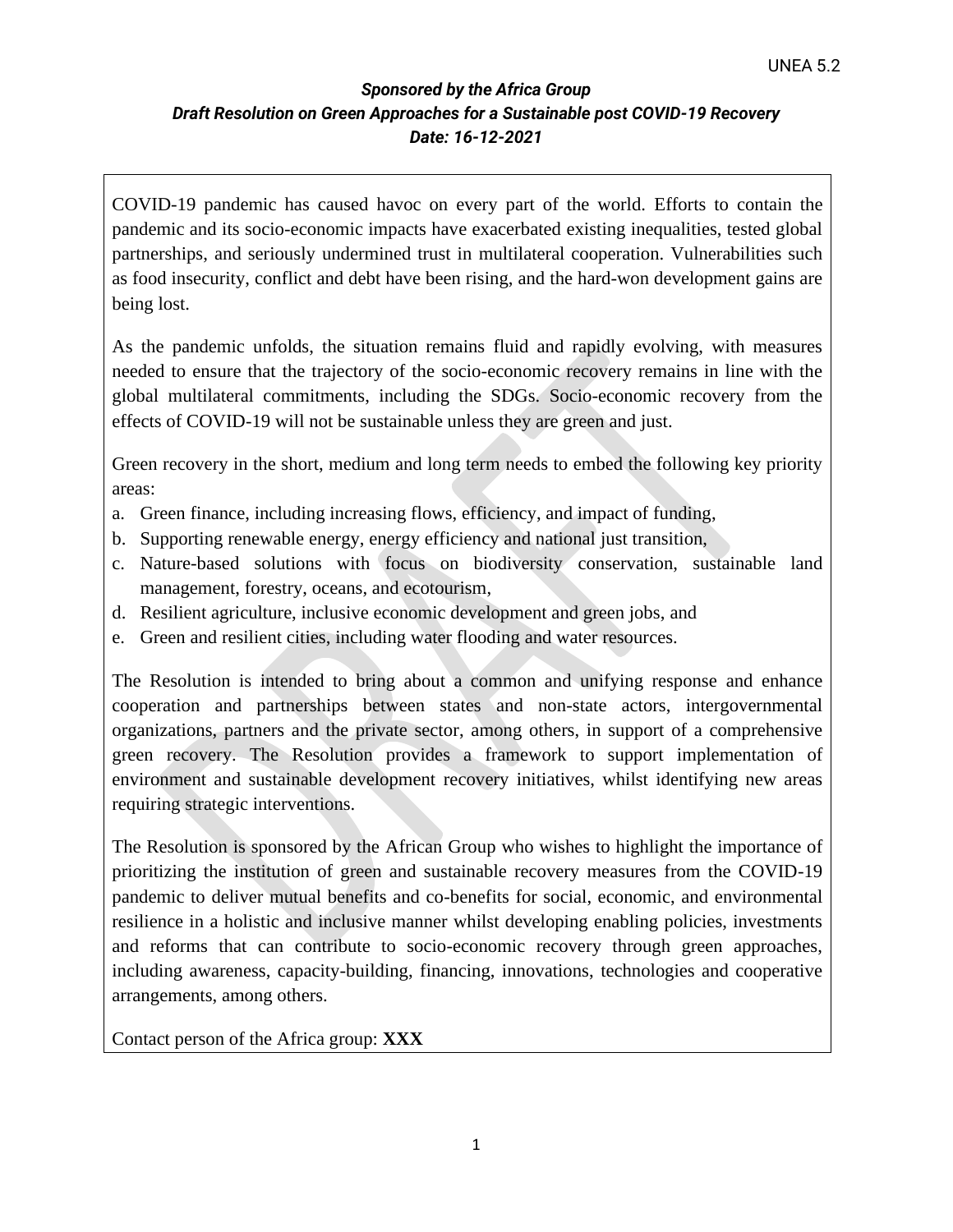COVID-19 pandemic has caused havoc on every part of the world. Efforts to contain the pandemic and its socio-economic impacts have exacerbated existing inequalities, tested global partnerships, and seriously undermined trust in multilateral cooperation. Vulnerabilities such as food insecurity, conflict and debt have been rising, and the hard-won development gains are being lost.

As the pandemic unfolds, the situation remains fluid and rapidly evolving, with measures needed to ensure that the trajectory of the socio-economic recovery remains in line with the global multilateral commitments, including the SDGs. Socio-economic recovery from the effects of COVID-19 will not be sustainable unless they are green and just.

Green recovery in the short, medium and long term needs to embed the following key priority areas:

- a. Green finance, including increasing flows, efficiency, and impact of funding,
- b. Supporting renewable energy, energy efficiency and national just transition,
- c. Nature-based solutions with focus on biodiversity conservation, sustainable land management, forestry, oceans, and ecotourism,
- d. Resilient agriculture, inclusive economic development and green jobs, and
- e. Green and resilient cities, including water flooding and water resources.

The Resolution is intended to bring about a common and unifying response and enhance cooperation and partnerships between states and non-state actors, intergovernmental organizations, partners and the private sector, among others, in support of a comprehensive green recovery. The Resolution provides a framework to support implementation of environment and sustainable development recovery initiatives, whilst identifying new areas requiring strategic interventions.

The Resolution is sponsored by the African Group who wishes to highlight the importance of prioritizing the institution of green and sustainable recovery measures from the COVID-19 pandemic to deliver mutual benefits and co-benefits for social, economic, and environmental resilience in a holistic and inclusive manner whilst developing enabling policies, investments and reforms that can contribute to socio-economic recovery through green approaches, including awareness, capacity-building, financing, innovations, technologies and cooperative arrangements, among others.

Contact person of the Africa group: **XXX**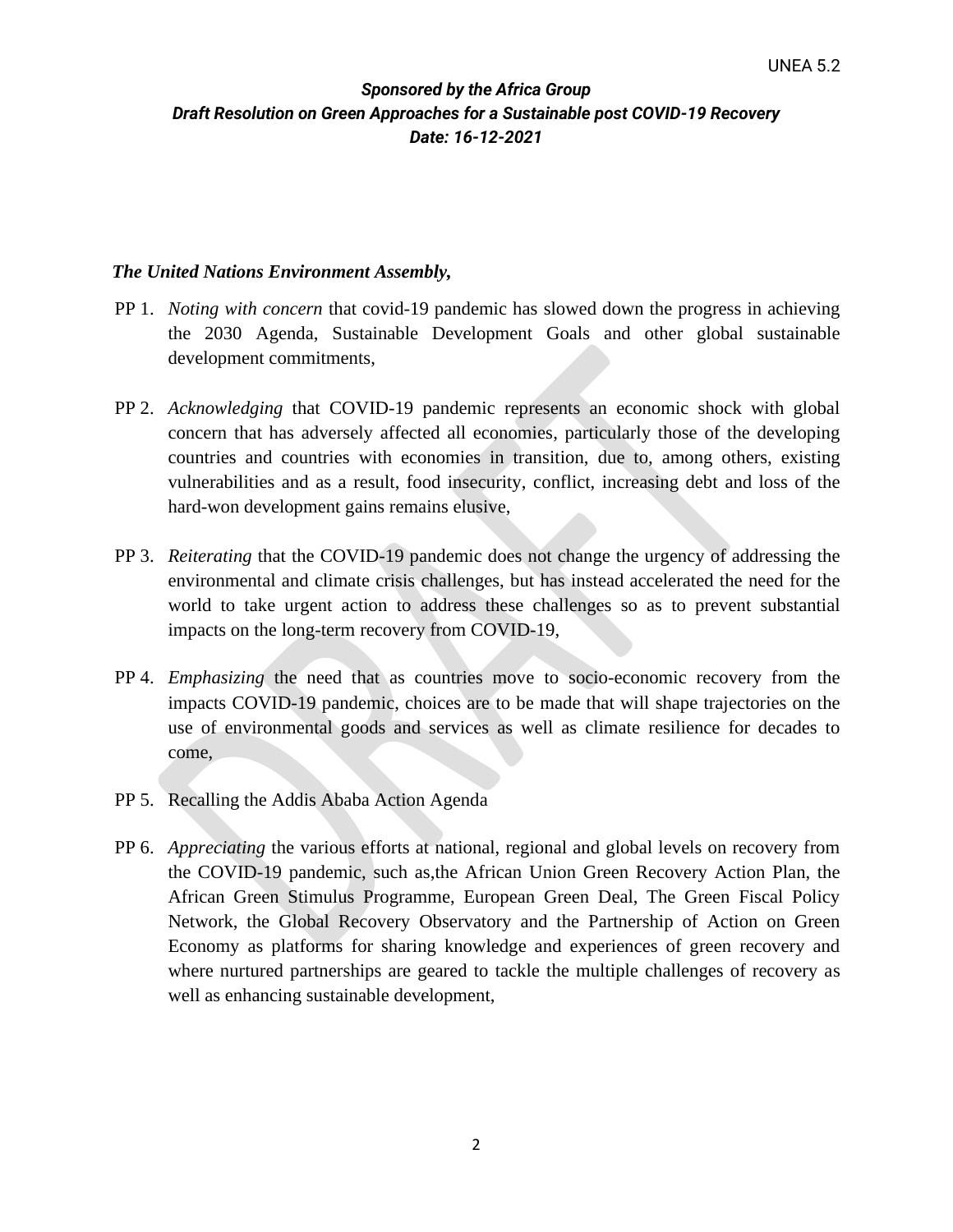#### *The United Nations Environment Assembly,*

- PP 1. *Noting with concern* that covid-19 pandemic has slowed down the progress in achieving the 2030 Agenda, Sustainable Development Goals and other global sustainable development commitments,
- PP 2. *Acknowledging* that COVID-19 pandemic represents an economic shock with global concern that has adversely affected all economies, particularly those of the developing countries and countries with economies in transition, due to, among others, existing vulnerabilities and as a result, food insecurity, conflict, increasing debt and loss of the hard-won development gains remains elusive,
- PP 3. *Reiterating* that the COVID-19 pandemic does not change the urgency of addressing the environmental and climate crisis challenges, but has instead accelerated the need for the world to take urgent action to address these challenges so as to prevent substantial impacts on the long-term recovery from COVID-19,
- PP 4. *Emphasizing* the need that as countries move to socio-economic recovery from the impacts COVID-19 pandemic, choices are to be made that will shape trajectories on the use of environmental goods and services as well as climate resilience for decades to come,
- PP 5. Recalling the Addis Ababa Action Agenda
- PP 6. *Appreciating* the various efforts at national, regional and global levels on recovery from the COVID-19 pandemic, such as,the African Union Green Recovery Action Plan, the African Green Stimulus Programme, European Green Deal, The Green Fiscal Policy Network, the Global Recovery Observatory and the Partnership of Action on Green Economy as platforms for sharing knowledge and experiences of green recovery and where nurtured partnerships are geared to tackle the multiple challenges of recovery as well as enhancing sustainable development,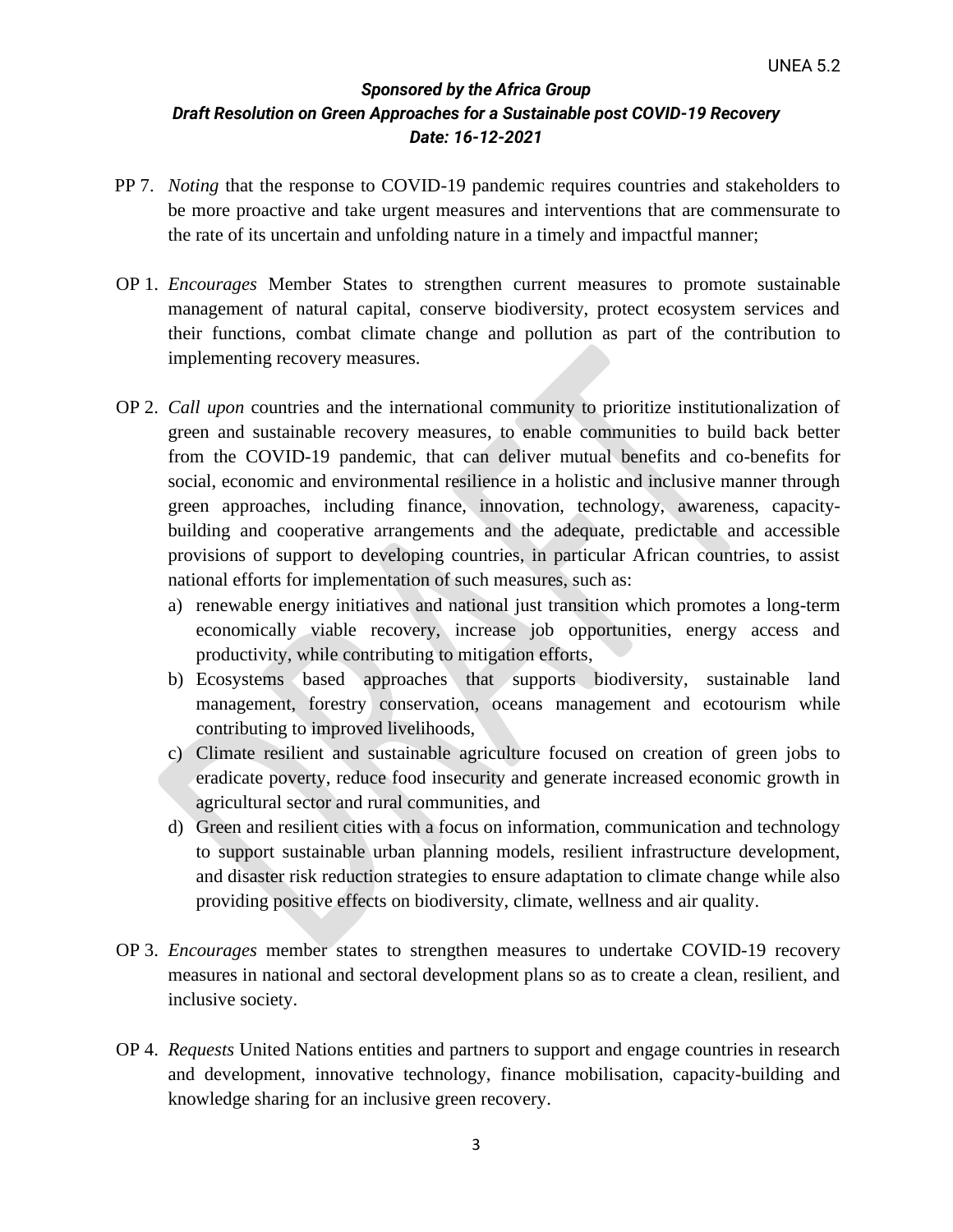- PP 7. *Noting* that the response to COVID-19 pandemic requires countries and stakeholders to be more proactive and take urgent measures and interventions that are commensurate to the rate of its uncertain and unfolding nature in a timely and impactful manner;
- OP 1. *Encourages* Member States to strengthen current measures to promote sustainable management of natural capital, conserve biodiversity, protect ecosystem services and their functions, combat climate change and pollution as part of the contribution to implementing recovery measures.
- OP 2. *Call upon* countries and the international community to prioritize institutionalization of green and sustainable recovery measures, to enable communities to build back better from the COVID-19 pandemic, that can deliver mutual benefits and co-benefits for social, economic and environmental resilience in a holistic and inclusive manner through green approaches, including finance, innovation, technology, awareness, capacitybuilding and cooperative arrangements and the adequate, predictable and accessible provisions of support to developing countries, in particular African countries, to assist national efforts for implementation of such measures, such as:
	- a) renewable energy initiatives and national just transition which promotes a long-term economically viable recovery, increase job opportunities, energy access and productivity, while contributing to mitigation efforts,
	- b) Ecosystems based approaches that supports biodiversity, sustainable land management, forestry conservation, oceans management and ecotourism while contributing to improved livelihoods,
	- c) Climate resilient and sustainable agriculture focused on creation of green jobs to eradicate poverty, reduce food insecurity and generate increased economic growth in agricultural sector and rural communities, and
	- d) Green and resilient cities with a focus on information, communication and technology to support sustainable urban planning models, resilient infrastructure development, and disaster risk reduction strategies to ensure adaptation to climate change while also providing positive effects on biodiversity, climate, wellness and air quality.
- OP 3. *Encourages* member states to strengthen measures to undertake COVID-19 recovery measures in national and sectoral development plans so as to create a clean, resilient, and inclusive society.
- OP 4. *Requests* United Nations entities and partners to support and engage countries in research and development, innovative technology, finance mobilisation, capacity-building and knowledge sharing for an inclusive green recovery.